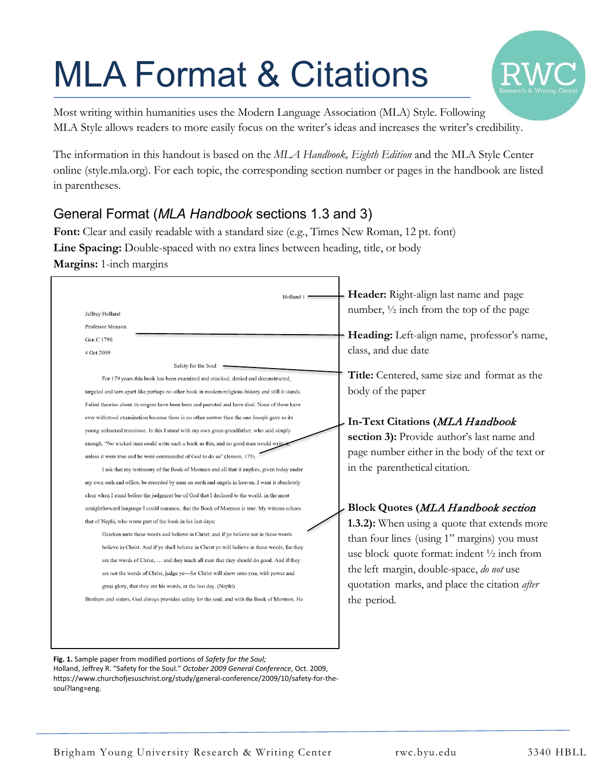# MLA Format & Citations



Most writing within humanities uses the Modern Language Association (MLA) Style. Following MLA Style allows readers to more easily focus on the writer's ideas and increases the writer's credibility.

The information in this handout is based on the *MLA Handbook, Eighth Edition* and the MLA Style Center online (style.mla.org). For each topic, the corresponding section number or pages in the handbook are listed in parentheses.

# General Format (*MLA Handbook* sections 1.3 and 3)

Font: Clear and easily readable with a standard size (e.g., Times New Roman, 12 pt. font) **Line Spacing:** Double-spaced with no extra lines between heading, title, or body **Margins:** 1-inch margins

| Holland 1<br>Jeffrey Holland<br>Professor Monson<br>Gen C 179S<br>4 Oct 2009<br>Safety for the Soul                                                                                                                                                                                                                                                                                                                                                                                                                                                                                                                                                                                                                                                                                                                                                                  | Header: Right-align last name and page<br>number, $\frac{1}{2}$ inch from the top of the page<br>Heading: Left-align name, professor's name,<br>class, and due date                                                                                                |
|----------------------------------------------------------------------------------------------------------------------------------------------------------------------------------------------------------------------------------------------------------------------------------------------------------------------------------------------------------------------------------------------------------------------------------------------------------------------------------------------------------------------------------------------------------------------------------------------------------------------------------------------------------------------------------------------------------------------------------------------------------------------------------------------------------------------------------------------------------------------|--------------------------------------------------------------------------------------------------------------------------------------------------------------------------------------------------------------------------------------------------------------------|
| For 179 years this book has been examined and attacked, denied and deconstructed,                                                                                                                                                                                                                                                                                                                                                                                                                                                                                                                                                                                                                                                                                                                                                                                    | Title: Centered, same size and format as the                                                                                                                                                                                                                       |
| targeted and torn apart like perhaps no other book in modern religious history and still it stands.<br>Failed theories about its origins have been born and parroted and have died. None of these have<br>ever withstood examination because there is no other answer than the one Joseph gave as its<br>young unlearned translator. In this I stand with my own great-grandfather, who said simply<br>enough, "No wicked man could write such a book as this; and no good man would write<br>unless it were true and he were commanded of God to do so" (Jenson, 175).<br>I ask that my testimony of the Book of Mormon and all that it implies, given today under<br>my own oath and office, be recorded by men on earth and angels in heaven. I want it absolutely<br>clear when I stand before the judgment bar of God that I declared to the world, in the most | body of the paper<br>In-Text Citations (MLA Handbook<br>section 3): Provide author's last name and<br>page number either in the body of the text or<br>in the parenthetical citation.                                                                              |
| straightforward language I could summon, that the Book of Mormon is true. My witness echoes                                                                                                                                                                                                                                                                                                                                                                                                                                                                                                                                                                                                                                                                                                                                                                          | <b>Block Quotes (MLA Handbook section</b>                                                                                                                                                                                                                          |
| that of Nephi, who wrote part of the book in his last days:<br>Hearken unto these words and believe in Christ; and if ye believe not in these words<br>believe in Christ. And if ye shall believe in Christ ye will believe in these words, for they<br>are the words of Christ,  and they teach all men that they should do good. And if they<br>are not the words of Christ, judge ye-for Christ will show unto you, with power and<br>great glory, that they are his words, at the last day. (Nephi)<br>Brothers and sisters, God always provides safety for the soul, and with the Book of Mormon, He                                                                                                                                                                                                                                                            | 1.3.2): When using a quote that extends more<br>than four lines (using 1" margins) you must<br>use block quote format: indent $\frac{1}{2}$ inch from<br>the left margin, double-space, do not use<br>quotation marks, and place the citation after<br>the period. |

**Fig. 1.** Sample paper from modified portions of *Safety for the Soul;*  Holland, Jeffrey R. "Safety for the Soul." *October 2009 General Conference*, Oct. 2009, https://www.churchofjesuschrist.org/study/general-conference/2009/10/safety-for-thesoul?lang=eng.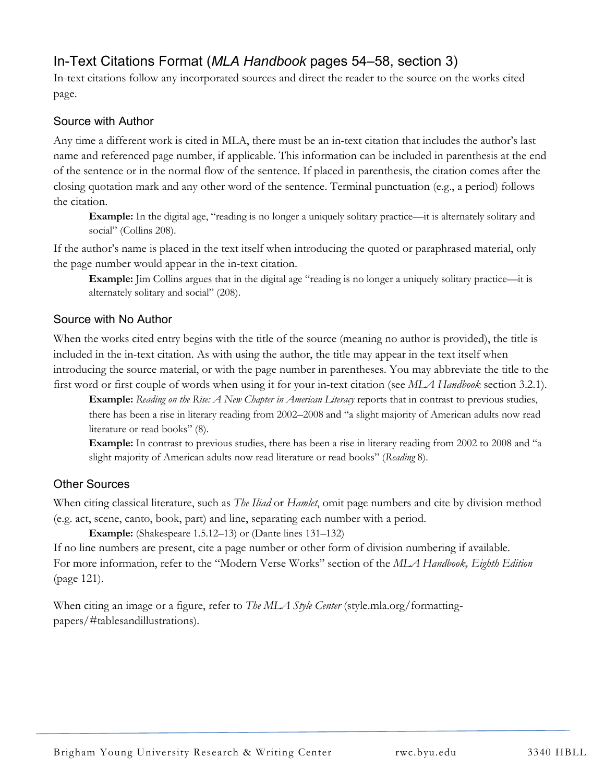# In-Text Citations Format (*MLA Handbook* pages 54–58, section 3)

In-text citations follow any incorporated sources and direct the reader to the source on the works cited page.

#### Source with Author

Any time a different work is cited in MLA, there must be an in-text citation that includes the author's last name and referenced page number, if applicable. This information can be included in parenthesis at the end of the sentence or in the normal flow of the sentence. If placed in parenthesis, the citation comes after the closing quotation mark and any other word of the sentence. Terminal punctuation (e.g., a period) follows the citation.

**Example:** In the digital age, "reading is no longer a uniquely solitary practice—it is alternately solitary and social" (Collins 208).

If the author's name is placed in the text itself when introducing the quoted or paraphrased material, only the page number would appear in the in-text citation.

**Example:** Jim Collins argues that in the digital age "reading is no longer a uniquely solitary practice—it is alternately solitary and social" (208).

#### Source with No Author

When the works cited entry begins with the title of the source (meaning no author is provided), the title is included in the in-text citation. As with using the author, the title may appear in the text itself when introducing the source material, or with the page number in parentheses. You may abbreviate the title to the first word or first couple of words when using it for your in-text citation (see *MLA Handbook* section 3.2.1).

**Example:** *Reading on the Rise: A New Chapter in American Literacy* reports that in contrast to previous studies, there has been a rise in literary reading from 2002–2008 and "a slight majority of American adults now read literature or read books" (8).

**Example:** In contrast to previous studies, there has been a rise in literary reading from 2002 to 2008 and "a slight majority of American adults now read literature or read books" (*Reading* 8).

#### Other Sources

When citing classical literature, such as *The Iliad* or *Hamlet*, omit page numbers and cite by division method (e.g. act, scene, canto, book, part) and line, separating each number with a period.

**Example:** (Shakespeare 1.5.12–13) or (Dante lines 131–132)

If no line numbers are present, cite a page number or other form of division numbering if available. For more information, refer to the "Modern Verse Works" section of the *MLA Handbook, Eighth Edition* (page 121).

When citing an image or a figure, refer to *The MLA Style Center* (style.mla.org/formattingpapers/#tablesandillustrations).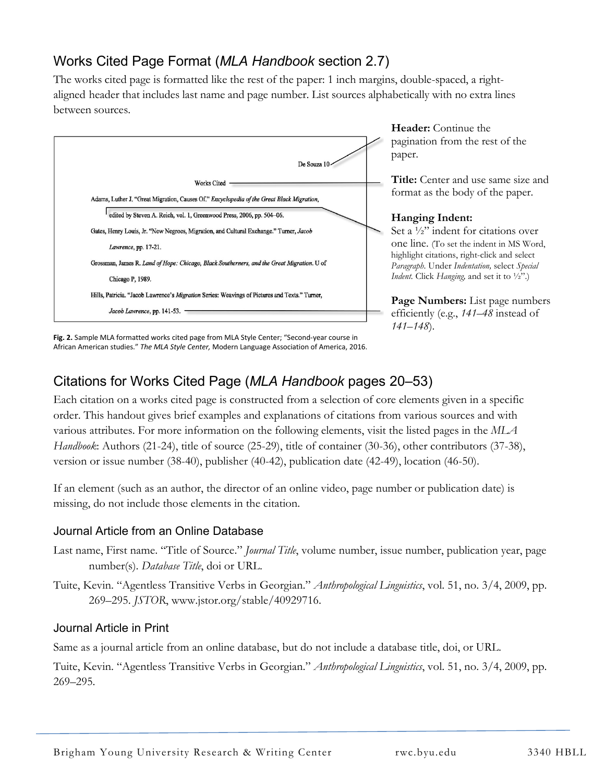# Works Cited Page Format (*MLA Handbook* section 2.7)

The works cited page is formatted like the rest of the paper: 1 inch margins, double-spaced, a rightaligned header that includes last name and page number. List sources alphabetically with no extra lines between sources.



**Header:** Continue the pagination from the rest of the paper.

**Title:** Center and use same size and format as the body of the paper.

#### **Hanging Indent:**

Set a ½" indent for citations over one line. (To set the indent in MS Word, highlight citations, right-click and select *Paragraph*. Under *Indentation,* select *Special Indent.* Click *Hanging,* and set it to ½".)

**Page Numbers:** List page numbers efficiently (e.g., *141–48* instead of *141–148*).

**Fig. 2.** Sample MLA formatted works cited page from MLA Style Center; "Second-year course in **Fig. 2.** Sampie MLA formatted works cited page from MLA Style Center; "Second-year course in<br>African American studies." *The MLA Style Center,* Modern Language Association of America, 2016.

# Citations for Works Cited Page (*MLA Handbook* pages 20–53)

Each citation on a works cited page is constructed from a selection of core elements given in a specific order. This handout gives brief examples and explanations of citations from various sources and with various attributes. For more information on the following elements, visit the listed pages in the *MLA Handbook*: Authors (21-24), title of source (25-29), title of container (30-36), other contributors (37-38), version or issue number (38-40), publisher (40-42), publication date (42-49), location (46-50).

If an element (such as an author, the director of an online video, page number or publication date) is missing, do not include those elements in the citation.

#### Journal Article from an Online Database

- Last name, First name. "Title of Source." *Journal Title*, volume number, issue number, publication year, page number(s). *Database Title*, doi or URL.
- Tuite, Kevin. "Agentless Transitive Verbs in Georgian." *Anthropological Linguistics*, vol. 51, no. 3/4, 2009, pp. 269–295. *JSTOR*, www.jstor.org/stable/40929716.

#### Journal Article in Print

Same as a journal article from an online database, but do not include a database title, doi, or URL.

Tuite, Kevin. "Agentless Transitive Verbs in Georgian." *Anthropological Linguistics*, vol. 51, no. 3/4, 2009, pp. 269–295.